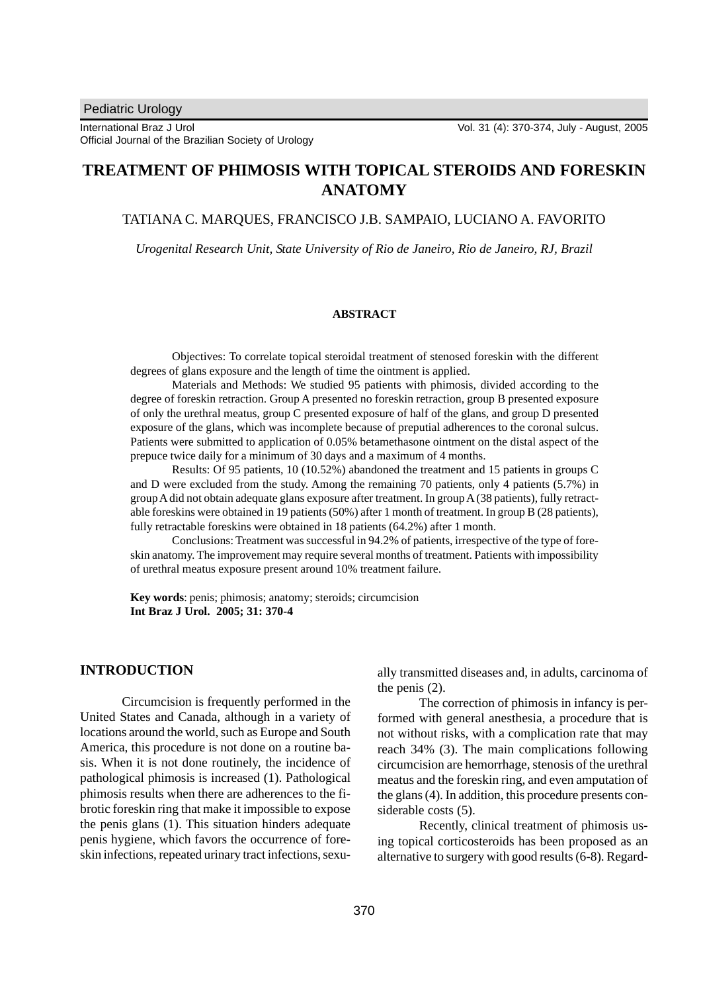# **TREATMENT OF PHIMOSIS WITH TOPICAL STEROIDS AND FORESKIN ANATOMY**

#### TATIANA C. MARQUES, FRANCISCO J.B. SAMPAIO, LUCIANO A. FAVORITO

*Urogenital Research Unit, State University of Rio de Janeiro, Rio de Janeiro, RJ, Brazil*

#### **ABSTRACT**

Objectives: To correlate topical steroidal treatment of stenosed foreskin with the different degrees of glans exposure and the length of time the ointment is applied.

Materials and Methods: We studied 95 patients with phimosis, divided according to the degree of foreskin retraction. Group A presented no foreskin retraction, group B presented exposure of only the urethral meatus, group C presented exposure of half of the glans, and group D presented exposure of the glans, which was incomplete because of preputial adherences to the coronal sulcus. Patients were submitted to application of 0.05% betamethasone ointment on the distal aspect of the prepuce twice daily for a minimum of 30 days and a maximum of 4 months.

Results: Of 95 patients, 10 (10.52%) abandoned the treatment and 15 patients in groups C and D were excluded from the study. Among the remaining 70 patients, only 4 patients (5.7%) in group A did not obtain adequate glans exposure after treatment. In group A (38 patients), fully retractable foreskins were obtained in 19 patients (50%) after 1 month of treatment. In group B (28 patients), fully retractable foreskins were obtained in 18 patients (64.2%) after 1 month.

Conclusions: Treatment was successful in 94.2% of patients, irrespective of the type of foreskin anatomy. The improvement may require several months of treatment. Patients with impossibility of urethral meatus exposure present around 10% treatment failure.

**Key words**: penis; phimosis; anatomy; steroids; circumcision **Int Braz J Urol. 2005; 31: 370-4**

## **INTRODUCTION**

Circumcision is frequently performed in the United States and Canada, although in a variety of locations around the world, such as Europe and South America, this procedure is not done on a routine basis. When it is not done routinely, the incidence of pathological phimosis is increased (1). Pathological phimosis results when there are adherences to the fibrotic foreskin ring that make it impossible to expose the penis glans (1). This situation hinders adequate penis hygiene, which favors the occurrence of foreskin infections, repeated urinary tract infections, sexually transmitted diseases and, in adults, carcinoma of the penis (2).

The correction of phimosis in infancy is performed with general anesthesia, a procedure that is not without risks, with a complication rate that may reach 34% (3). The main complications following circumcision are hemorrhage, stenosis of the urethral meatus and the foreskin ring, and even amputation of the glans (4). In addition, this procedure presents considerable costs (5).

Recently, clinical treatment of phimosis using topical corticosteroids has been proposed as an alternative to surgery with good results (6-8). Regard-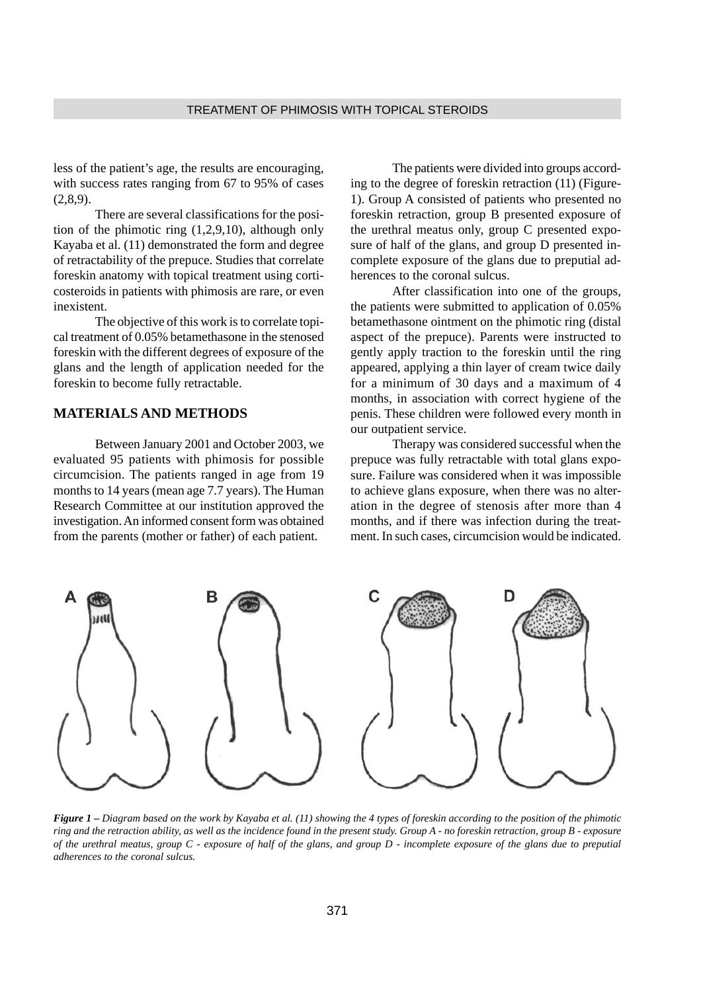less of the patient's age, the results are encouraging, with success rates ranging from 67 to 95% of cases  $(2,8,9)$ .

There are several classifications for the position of the phimotic ring (1,2,9,10), although only Kayaba et al. (11) demonstrated the form and degree of retractability of the prepuce. Studies that correlate foreskin anatomy with topical treatment using corticosteroids in patients with phimosis are rare, or even inexistent.

The objective of this work is to correlate topical treatment of 0.05% betamethasone in the stenosed foreskin with the different degrees of exposure of the glans and the length of application needed for the foreskin to become fully retractable.

## **MATERIALS AND METHODS**

Between January 2001 and October 2003, we evaluated 95 patients with phimosis for possible circumcision. The patients ranged in age from 19 months to 14 years (mean age 7.7 years). The Human Research Committee at our institution approved the investigation. An informed consent form was obtained from the parents (mother or father) of each patient.

The patients were divided into groups according to the degree of foreskin retraction (11) (Figure-1). Group A consisted of patients who presented no foreskin retraction, group B presented exposure of the urethral meatus only, group C presented exposure of half of the glans, and group D presented incomplete exposure of the glans due to preputial adherences to the coronal sulcus.

After classification into one of the groups, the patients were submitted to application of 0.05% betamethasone ointment on the phimotic ring (distal aspect of the prepuce). Parents were instructed to gently apply traction to the foreskin until the ring appeared, applying a thin layer of cream twice daily for a minimum of 30 days and a maximum of 4 months, in association with correct hygiene of the penis. These children were followed every month in our outpatient service.

Therapy was considered successful when the prepuce was fully retractable with total glans exposure. Failure was considered when it was impossible to achieve glans exposure, when there was no alteration in the degree of stenosis after more than 4 months, and if there was infection during the treatment. In such cases, circumcision would be indicated.



*Figure 1 – Diagram based on the work by Kayaba et al. (11) showing the 4 types of foreskin according to the position of the phimotic ring and the retraction ability, as well as the incidence found in the present study. Group A - no foreskin retraction, group B - exposure of the urethral meatus, group C - exposure of half of the glans, and group D - incomplete exposure of the glans due to preputial adherences to the coronal sulcus.*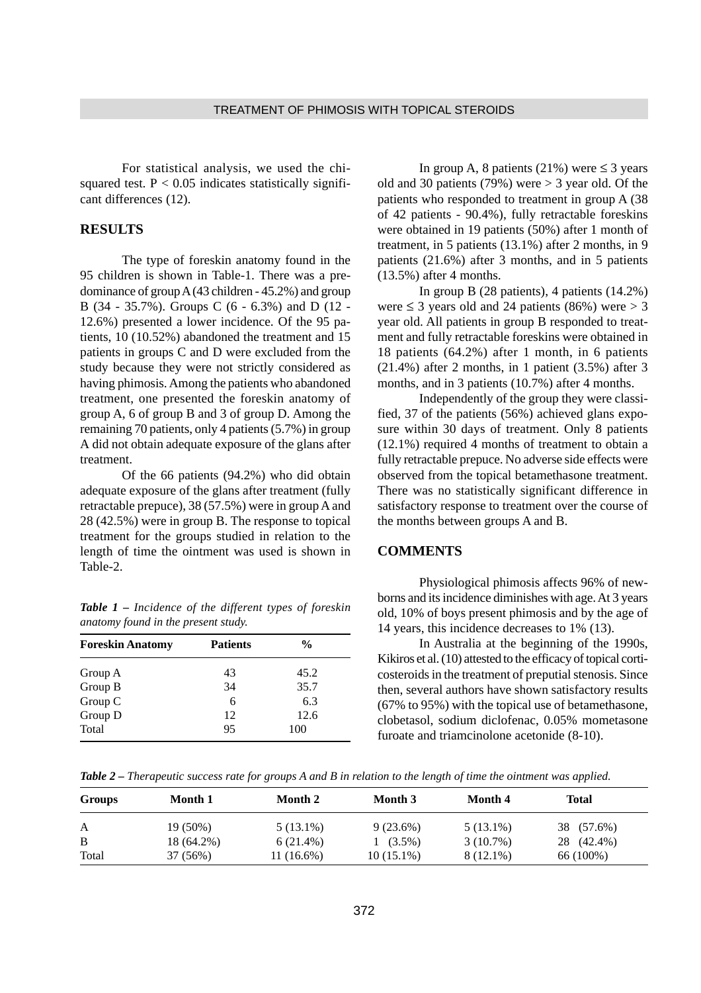For statistical analysis, we used the chisquared test.  $P < 0.05$  indicates statistically significant differences (12).

## **RESULTS**

The type of foreskin anatomy found in the 95 children is shown in Table-1. There was a predominance of group A (43 children - 45.2%) and group B (34 - 35.7%). Groups C (6 - 6.3%) and D (12 - 12.6%) presented a lower incidence. Of the 95 patients, 10 (10.52%) abandoned the treatment and 15 patients in groups C and D were excluded from the study because they were not strictly considered as having phimosis. Among the patients who abandoned treatment, one presented the foreskin anatomy of group A, 6 of group B and 3 of group D. Among the remaining 70 patients, only 4 patients (5.7%) in group A did not obtain adequate exposure of the glans after treatment.

Of the 66 patients (94.2%) who did obtain adequate exposure of the glans after treatment (fully retractable prepuce), 38 (57.5%) were in group A and 28 (42.5%) were in group B. The response to topical treatment for the groups studied in relation to the length of time the ointment was used is shown in Table-2.

*Table 1 – Incidence of the different types of foreskin anatomy found in the present study.*

| <b>Foreskin Anatomy</b> | <b>Patients</b> | $\frac{6}{9}$ |
|-------------------------|-----------------|---------------|
| Group A                 | 43              | 45.2          |
| Group B                 | 34              | 35.7          |
| Group C                 | 6               | 6.3           |
| Group D                 | 12              | 12.6          |
| Total                   | 95              | 100           |

In group A, 8 patients (21%) were  $\leq$  3 years old and 30 patients (79%) were  $>$  3 year old. Of the patients who responded to treatment in group A (38 of 42 patients - 90.4%), fully retractable foreskins were obtained in 19 patients (50%) after 1 month of treatment, in 5 patients (13.1%) after 2 months, in 9 patients (21.6%) after 3 months, and in 5 patients (13.5%) after 4 months.

In group B (28 patients), 4 patients (14.2%) were  $\leq$  3 years old and 24 patients (86%) were  $>$  3 year old. All patients in group B responded to treatment and fully retractable foreskins were obtained in 18 patients (64.2%) after 1 month, in 6 patients (21.4%) after 2 months, in 1 patient (3.5%) after 3 months, and in 3 patients (10.7%) after 4 months.

Independently of the group they were classified, 37 of the patients (56%) achieved glans exposure within 30 days of treatment. Only 8 patients (12.1%) required 4 months of treatment to obtain a fully retractable prepuce. No adverse side effects were observed from the topical betamethasone treatment. There was no statistically significant difference in satisfactory response to treatment over the course of the months between groups A and B.

#### **COMMENTS**

Physiological phimosis affects 96% of newborns and its incidence diminishes with age. At 3 years old, 10% of boys present phimosis and by the age of 14 years, this incidence decreases to 1% (13).

In Australia at the beginning of the 1990s, Kikiros et al. (10) attested to the efficacy of topical corticosteroids in the treatment of preputial stenosis. Since then, several authors have shown satisfactory results (67% to 95%) with the topical use of betamethasone, clobetasol, sodium diclofenac, 0.05% mometasone furoate and triamcinolone acetonide (8-10).

*Table 2 – Therapeutic success rate for groups A and B in relation to the length of time the ointment was applied.*

| <b>Groups</b> | Month 1    | Month 2      | Month 3      | Month 4     | Total      |
|---------------|------------|--------------|--------------|-------------|------------|
| A             | 19 (50%)   | $5(13.1\%)$  | $9(23.6\%)$  | $5(13.1\%)$ | 38 (57.6%) |
| B             | 18 (64.2%) | $6(21.4\%)$  | $1(3.5\%)$   | $3(10.7\%)$ | 28 (42.4%) |
| Total         | 37 (56%)   | $11(16.6\%)$ | $10(15.1\%)$ | $8(12.1\%)$ | 66 (100%)  |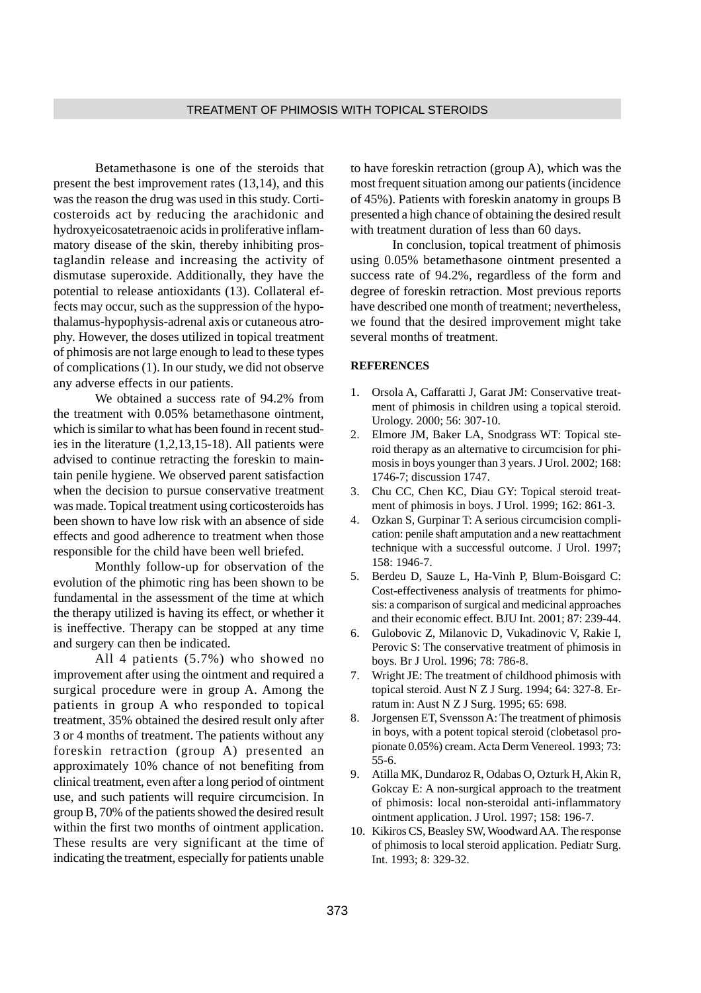Betamethasone is one of the steroids that present the best improvement rates (13,14), and this was the reason the drug was used in this study. Corticosteroids act by reducing the arachidonic and hydroxyeicosatetraenoic acids in proliferative inflammatory disease of the skin, thereby inhibiting prostaglandin release and increasing the activity of dismutase superoxide. Additionally, they have the potential to release antioxidants (13). Collateral effects may occur, such as the suppression of the hypothalamus-hypophysis-adrenal axis or cutaneous atrophy. However, the doses utilized in topical treatment of phimosis are not large enough to lead to these types of complications (1). In our study, we did not observe any adverse effects in our patients.

We obtained a success rate of 94.2% from the treatment with 0.05% betamethasone ointment, which is similar to what has been found in recent studies in the literature (1,2,13,15-18). All patients were advised to continue retracting the foreskin to maintain penile hygiene. We observed parent satisfaction when the decision to pursue conservative treatment was made. Topical treatment using corticosteroids has been shown to have low risk with an absence of side effects and good adherence to treatment when those responsible for the child have been well briefed.

Monthly follow-up for observation of the evolution of the phimotic ring has been shown to be fundamental in the assessment of the time at which the therapy utilized is having its effect, or whether it is ineffective. Therapy can be stopped at any time and surgery can then be indicated.

All 4 patients (5.7%) who showed no improvement after using the ointment and required a surgical procedure were in group A. Among the patients in group A who responded to topical treatment, 35% obtained the desired result only after 3 or 4 months of treatment. The patients without any foreskin retraction (group A) presented an approximately 10% chance of not benefiting from clinical treatment, even after a long period of ointment use, and such patients will require circumcision. In group B, 70% of the patients showed the desired result within the first two months of ointment application. These results are very significant at the time of indicating the treatment, especially for patients unable

to have foreskin retraction (group A), which was the most frequent situation among our patients (incidence of 45%). Patients with foreskin anatomy in groups B presented a high chance of obtaining the desired result with treatment duration of less than 60 days.

In conclusion, topical treatment of phimosis using 0.05% betamethasone ointment presented a success rate of 94.2%, regardless of the form and degree of foreskin retraction. Most previous reports have described one month of treatment; nevertheless, we found that the desired improvement might take several months of treatment.

#### **REFERENCES**

- 1. Orsola A, Caffaratti J, Garat JM: Conservative treatment of phimosis in children using a topical steroid. Urology. 2000; 56: 307-10.
- 2. Elmore JM, Baker LA, Snodgrass WT: Topical steroid therapy as an alternative to circumcision for phimosis in boys younger than 3 years. J Urol. 2002; 168: 1746-7; discussion 1747.
- 3. Chu CC, Chen KC, Diau GY: Topical steroid treatment of phimosis in boys. J Urol. 1999; 162: 861-3.
- 4. Ozkan S, Gurpinar T: A serious circumcision complication: penile shaft amputation and a new reattachment technique with a successful outcome. J Urol. 1997; 158: 1946-7.
- 5. Berdeu D, Sauze L, Ha-Vinh P, Blum-Boisgard C: Cost-effectiveness analysis of treatments for phimosis: a comparison of surgical and medicinal approaches and their economic effect. BJU Int. 2001; 87: 239-44.
- 6. Gulobovic Z, Milanovic D, Vukadinovic V, Rakie I, Perovic S: The conservative treatment of phimosis in boys. Br J Urol. 1996; 78: 786-8.
- 7. Wright JE: The treatment of childhood phimosis with topical steroid. Aust N Z J Surg. 1994; 64: 327-8. Erratum in: Aust N Z J Surg. 1995; 65: 698.
- 8. Jorgensen ET, Svensson A: The treatment of phimosis in boys, with a potent topical steroid (clobetasol propionate 0.05%) cream. Acta Derm Venereol. 1993; 73: 55-6.
- 9. Atilla MK, Dundaroz R, Odabas O, Ozturk H, Akin R, Gokcay E: A non-surgical approach to the treatment of phimosis: local non-steroidal anti-inflammatory ointment application. J Urol. 1997; 158: 196-7.
- 10. Kikiros CS, Beasley SW, Woodward AA. The response of phimosis to local steroid application. Pediatr Surg. Int. 1993; 8: 329-32.